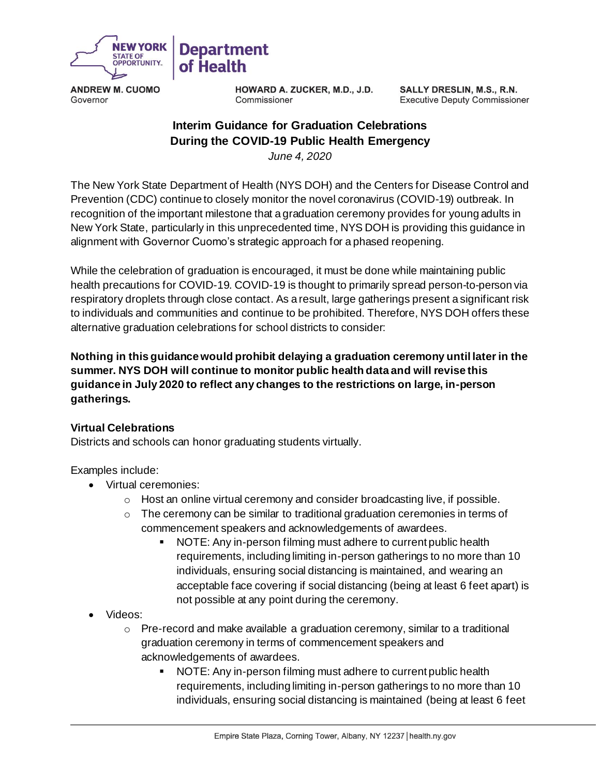

**ANDREW M. CUOMO** Governor

**HOWARD A. ZUCKER, M.D., J.D.** Commissioner

SALLY DRESLIN, M.S., R.N. **Executive Deputy Commissioner** 

## **Interim Guidance for Graduation Celebrations During the COVID-19 Public Health Emergency**

*June 4, 2020*

The New York State Department of Health (NYS DOH) and the Centers for Disease Control and Prevention (CDC) continue to closely monitor the novel coronavirus (COVID-19) outbreak. In recognition of the important milestone that a graduation ceremony provides for young adults in New York State, particularly in this unprecedented time, NYS DOH is providing this guidance in alignment with Governor Cuomo's strategic approach for a phased reopening.

While the celebration of graduation is encouraged, it must be done while maintaining public health precautions for COVID-19. COVID-19 is thought to primarily spread person-to-person via respiratory droplets through close contact. As a result, large gatherings present a significant risk to individuals and communities and continue to be prohibited. Therefore, NYS DOH offers these alternative graduation celebrations for school districts to consider:

**Nothing in this guidance would prohibit delaying a graduation ceremony until later in the summer. NYS DOH will continue to monitor public health data and will revise this guidance in July 2020 to reflect any changes to the restrictions on large, in-person gatherings.**

## **Virtual Celebrations**

Districts and schools can honor graduating students virtually.

Examples include:

- Virtual ceremonies:
	- $\circ$  Host an online virtual ceremony and consider broadcasting live, if possible.
	- $\circ$  The ceremony can be similar to traditional graduation ceremonies in terms of commencement speakers and acknowledgements of awardees.
		- NOTE: Any in-person filming must adhere to current public health requirements, including limiting in-person gatherings to no more than 10 individuals, ensuring social distancing is maintained, and wearing an acceptable face covering if social distancing (being at least 6 feet apart) is not possible at any point during the ceremony.
- Videos:
	- $\circ$  Pre-record and make available a graduation ceremony, similar to a traditional graduation ceremony in terms of commencement speakers and acknowledgements of awardees.
		- NOTE: Any in-person filming must adhere to current public health requirements, including limiting in-person gatherings to no more than 10 individuals, ensuring social distancing is maintained (being at least 6 feet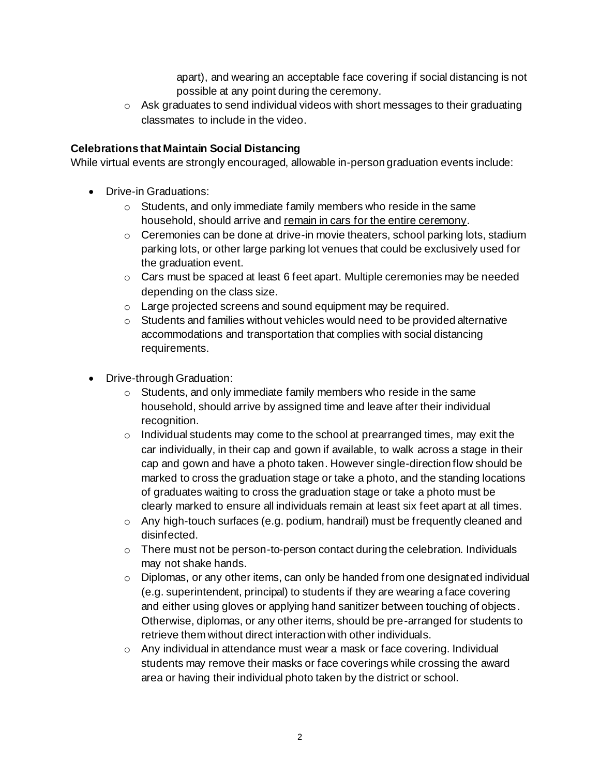apart), and wearing an acceptable face covering if social distancing is not possible at any point during the ceremony.

 $\circ$  Ask graduates to send individual videos with short messages to their graduating classmates to include in the video.

## **Celebrations that Maintain Social Distancing**

While virtual events are strongly encouraged, allowable in-person graduation events include:

- Drive-in Graduations:
	- o Students, and only immediate family members who reside in the same household, should arrive and remain in cars for the entire ceremony.
	- $\circ$  Ceremonies can be done at drive-in movie theaters, school parking lots, stadium parking lots, or other large parking lot venues that could be exclusively used for the graduation event.
	- o Cars must be spaced at least 6 feet apart. Multiple ceremonies may be needed depending on the class size.
	- o Large projected screens and sound equipment may be required.
	- $\circ$  Students and families without vehicles would need to be provided alternative accommodations and transportation that complies with social distancing requirements.
- Drive-through Graduation:
	- o Students, and only immediate family members who reside in the same household, should arrive by assigned time and leave after their individual recognition.
	- $\circ$  Individual students may come to the school at prearranged times, may exit the car individually, in their cap and gown if available, to walk across a stage in their cap and gown and have a photo taken. However single-direction flow should be marked to cross the graduation stage or take a photo, and the standing locations of graduates waiting to cross the graduation stage or take a photo must be clearly marked to ensure all individuals remain at least six feet apart at all times.
	- o Any high-touch surfaces (e.g. podium, handrail) must be frequently cleaned and disinfected.
	- o There must not be person-to-person contact during the celebration. Individuals may not shake hands.
	- $\circ$  Diplomas, or any other items, can only be handed from one designated individual (e.g. superintendent, principal) to students if they are wearing a face covering and either using gloves or applying hand sanitizer between touching of objects. Otherwise, diplomas, or any other items, should be pre-arranged for students to retrieve them without direct interaction with other individuals.
	- $\circ$  Any individual in attendance must wear a mask or face covering. Individual students may remove their masks or face coverings while crossing the award area or having their individual photo taken by the district or school.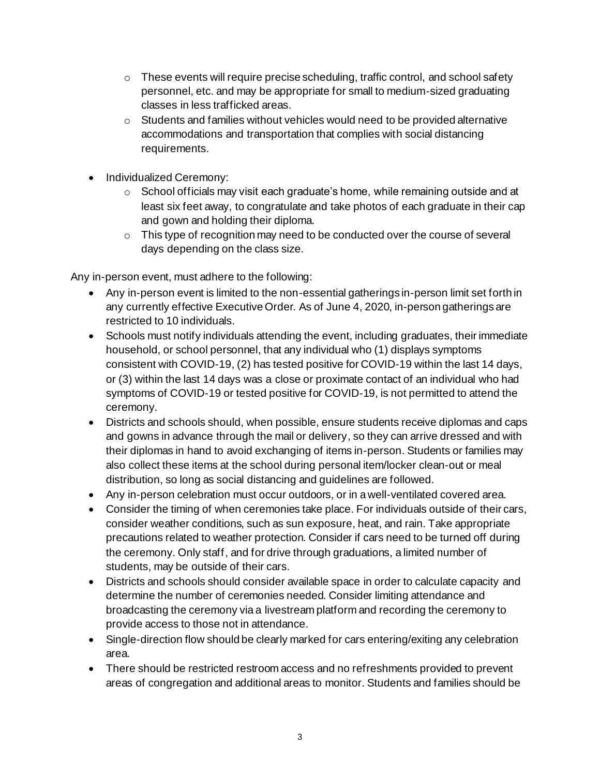- $\circ$  These events will require precise scheduling, traffic control, and school safety personnel, etc. and may be appropriate for small to medium-sized graduating classes in less trafficked areas.
- $\circ$  Students and families without vehicles would need to be provided alternative accommodations and transportation that complies with social distancing requirements.
- Individualized Ceremony:
	- $\circ$  School officials may visit each graduate's home, while remaining outside and at least six feet away, to congratulate and take photos of each graduate in their cap and gown and holding their diploma.
	- $\circ$  This type of recognition may need to be conducted over the course of several days depending on the class size.

Any in-person event, must adhere to the following:

- Any in-person event is limited to the non-essential gatherings in-person limit set forth in any currently effective Executive Order. As of June 4, 2020, in-person gatherings are restricted to 10 individuals.
- Schools must notify individuals attending the event, including graduates, their immediate household, or school personnel, that any individual who (1) displays symptoms consistent with COVID-19, (2) has tested positive for COVID-19 within the last 14 days, or (3) within the last 14 days was a close or proximate contact of an individual who had symptoms of COVID-19 or tested positive for COVID-19, is not permitted to attend the ceremony.
- Districts and schools should, when possible, ensure students receive diplomas and caps and gowns in advance through the mail or delivery, so they can arrive dressed and with their diplomas in hand to avoid exchanging of items in-person. Students or families may also collect these items at the school during personal item/locker clean-out or meal distribution, so long as social distancing and guidelines are followed.
- Any in-person celebration must occur outdoors, or in a well-ventilated covered area.
- Consider the timing of when ceremonies take place. For individuals outside of their cars, consider weather conditions, such as sun exposure, heat, and rain. Take appropriate precautions related to weather protection. Consider if cars need to be turned off during the ceremony. Only staff, and for drive through graduations, a limited number of students, may be outside of their cars.
- Districts and schools should consider available space in order to calculate capacity and determine the number of ceremonies needed. Consider limiting attendance and broadcasting the ceremony via a livestream platform and recording the ceremony to provide access to those not in attendance.
- Single-direction flow should be clearly marked for cars entering/exiting any celebration area.
- There should be restricted restroom access and no refreshments provided to prevent areas of congregation and additional areas to monitor. Students and families should be